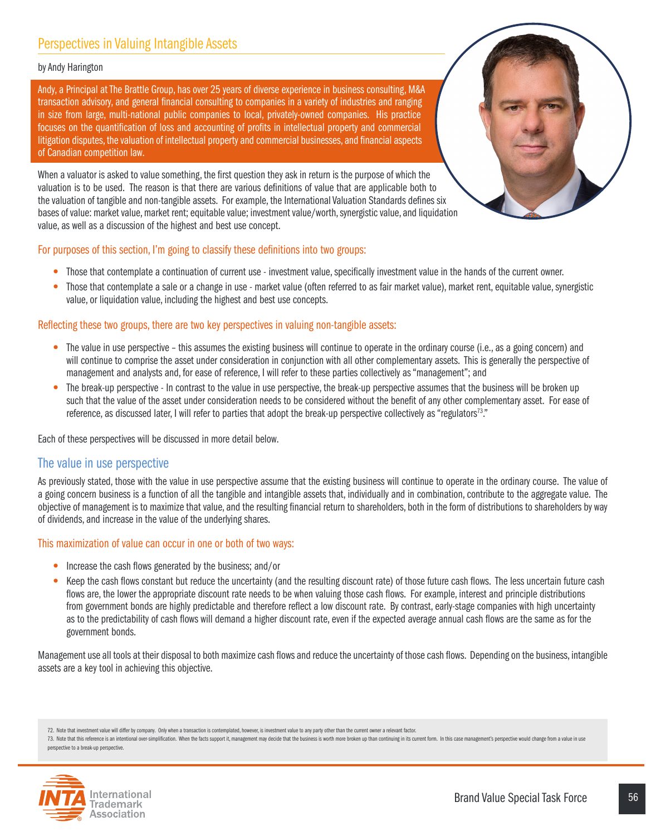# Perspectives in Valuing Intangible Assets

#### by Andy Harington

Andy, a Principal at The Brattle Group, has over 25 years of diverse experience in business consulting, M&A transaction advisory, and general financial consulting to companies in a variety of industries and ranging in size from large, multi-national public companies to local, privately-owned companies. His practice focuses on the quantification of loss and accounting of profits in intellectual property and commercial litigation disputes, the valuation of intellectual property and commercial businesses, and financial aspects of Canadian competition law.

When a valuator is asked to value something, the first question they ask in return is the purpose of which the valuation is to be used. The reason is that there are various definitions of value that are applicable both to the valuation of tangible and non-tangible assets. For example, the International Valuation Standards defines six bases of value: market value, market rent; equitable value; investment value/worth, synergistic value, and liquidation value, as well as a discussion of the highest and best use concept.



### For purposes of this section, I'm going to classify these definitions into two groups:

- Those that contemplate a continuation of current use investment value, specifically investment value in the hands of the current owner.
- Those that contemplate a sale or a change in use market value (often referred to as fair market value), market rent, equitable value, synergistic value, or liquidation value, including the highest and best use concepts.

## Reflecting these two groups, there are two key perspectives in valuing non-tangible assets:

- The value in use perspective this assumes the existing business will continue to operate in the ordinary course (i.e., as a going concern) and will continue to comprise the asset under consideration in conjunction with all other complementary assets. This is generally the perspective of management and analysts and, for ease of reference, I will refer to these parties collectively as "management"; and
- The break-up perspective In contrast to the value in use perspective, the break-up perspective assumes that the business will be broken up such that the value of the asset under consideration needs to be considered without the benefit of any other complementary asset. For ease of reference, as discussed later, I will refer to parties that adopt the break-up perspective collectively as "regulators<sup>73</sup>."

Each of these perspectives will be discussed in more detail below.

# The value in use perspective

As previously stated, those with the value in use perspective assume that the existing business will continue to operate in the ordinary course. The value of a going concern business is a function of all the tangible and intangible assets that, individually and in combination, contribute to the aggregate value. The objective of management is to maximize that value, and the resulting financial return to shareholders, both in the form of distributions to shareholders by way of dividends, and increase in the value of the underlying shares.

#### This maximization of value can occur in one or both of two ways:

- Increase the cash flows generated by the business; and/or
- Keep the cash flows constant but reduce the uncertainty (and the resulting discount rate) of those future cash flows. The less uncertain future cash flows are, the lower the appropriate discount rate needs to be when valuing those cash flows. For example, interest and principle distributions from government bonds are highly predictable and therefore reflect a low discount rate. By contrast, early-stage companies with high uncertainty as to the predictability of cash flows will demand a higher discount rate, even if the expected average annual cash flows are the same as for the government bonds.

Management use all tools at their disposal to both maximize cash flows and reduce the uncertainty of those cash flows. Depending on the business, intangible assets are a key tool in achieving this objective.

<sup>73.</sup> Note that this reference is an intentional over-simplification. When the facts support it, management may decide that the business is worth more broken up than continuing in its current form. In this case management's perspective to a break-up perspective.



<sup>72.</sup> Note that investment value will differ by company. Only when a transaction is contemplated, however, is investment value to any party other than the current owner a relevant factor.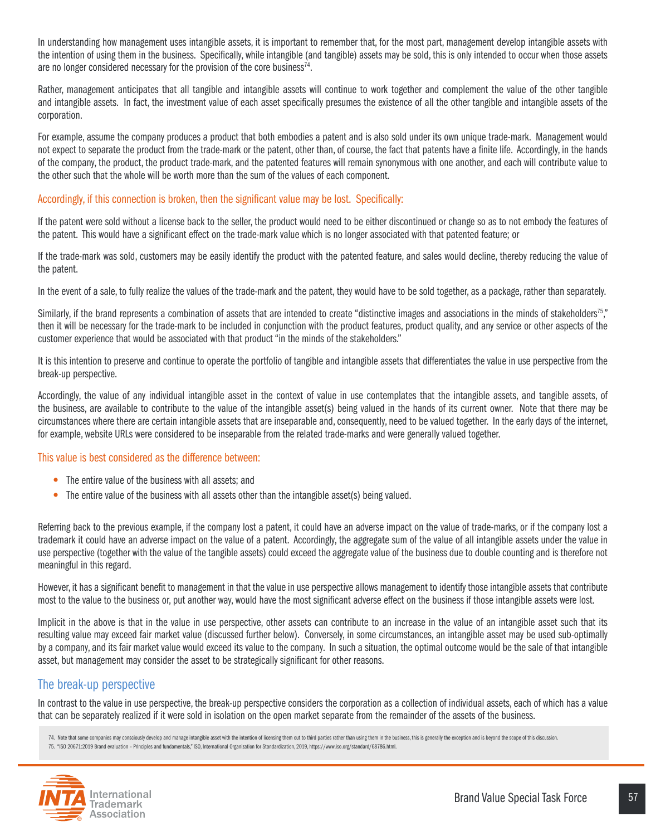In understanding how management uses intangible assets, it is important to remember that, for the most part, management develop intangible assets with the intention of using them in the business. Specifically, while intangible (and tangible) assets may be sold, this is only intended to occur when those assets are no longer considered necessary for the provision of the core business<sup>74</sup>.

Rather, management anticipates that all tangible and intangible assets will continue to work together and complement the value of the other tangible and intangible assets. In fact, the investment value of each asset specifically presumes the existence of all the other tangible and intangible assets of the corporation.

For example, assume the company produces a product that both embodies a patent and is also sold under its own unique trade-mark. Management would not expect to separate the product from the trade-mark or the patent, other than, of course, the fact that patents have a finite life. Accordingly, in the hands of the company, the product, the product trade-mark, and the patented features will remain synonymous with one another, and each will contribute value to the other such that the whole will be worth more than the sum of the values of each component.

# Accordingly, if this connection is broken, then the significant value may be lost. Specifically:

If the patent were sold without a license back to the seller, the product would need to be either discontinued or change so as to not embody the features of the patent. This would have a significant effect on the trade-mark value which is no longer associated with that patented feature; or

If the trade-mark was sold, customers may be easily identify the product with the patented feature, and sales would decline, thereby reducing the value of the patent.

In the event of a sale, to fully realize the values of the trade-mark and the patent, they would have to be sold together, as a package, rather than separately.

Similarly, if the brand represents a combination of assets that are intended to create "distinctive images and associations in the minds of stakeholders<sup>75</sup>," then it will be necessary for the trade-mark to be included in conjunction with the product features, product quality, and any service or other aspects of the customer experience that would be associated with that product "in the minds of the stakeholders."

It is this intention to preserve and continue to operate the portfolio of tangible and intangible assets that differentiates the value in use perspective from the break-up perspective.

Accordingly, the value of any individual intangible asset in the context of value in use contemplates that the intangible assets, and tangible assets, of the business, are available to contribute to the value of the intangible asset(s) being valued in the hands of its current owner. Note that there may be circumstances where there are certain intangible assets that are inseparable and, consequently, need to be valued together. In the early days of the internet, for example, website URLs were considered to be inseparable from the related trade-marks and were generally valued together.

#### This value is best considered as the difference between:

- The entire value of the business with all assets: and
- The entire value of the business with all assets other than the intangible asset(s) being valued.

Referring back to the previous example, if the company lost a patent, it could have an adverse impact on the value of trade-marks, or if the company lost a trademark it could have an adverse impact on the value of a patent. Accordingly, the aggregate sum of the value of all intangible assets under the value in use perspective (together with the value of the tangible assets) could exceed the aggregate value of the business due to double counting and is therefore not meaningful in this regard.

However, it has a significant benefit to management in that the value in use perspective allows management to identify those intangible assets that contribute most to the value to the business or, put another way, would have the most significant adverse effect on the business if those intangible assets were lost.

Implicit in the above is that in the value in use perspective, other assets can contribute to an increase in the value of an intangible asset such that its resulting value may exceed fair market value (discussed further below). Conversely, in some circumstances, an intangible asset may be used sub-optimally by a company, and its fair market value would exceed its value to the company. In such a situation, the optimal outcome would be the sale of that intangible asset, but management may consider the asset to be strategically significant for other reasons.

# The break-up perspective

In contrast to the value in use perspective, the break-up perspective considers the corporation as a collection of individual assets, each of which has a value that can be separately realized if it were sold in isolation on the open market separate from the remainder of the assets of the business.

- 74. Note that some companies may consciously develop and manage intangible asset with the intention of licensing them out to third parties rather than using them in the business, this is generally the exception and is beyo
- 75. "ISO 20671:2019 Brand evaluation Principles and fundamentals," ISO, International Organization for Standardization, 2019, https://www.iso.org/standard/68786.html.